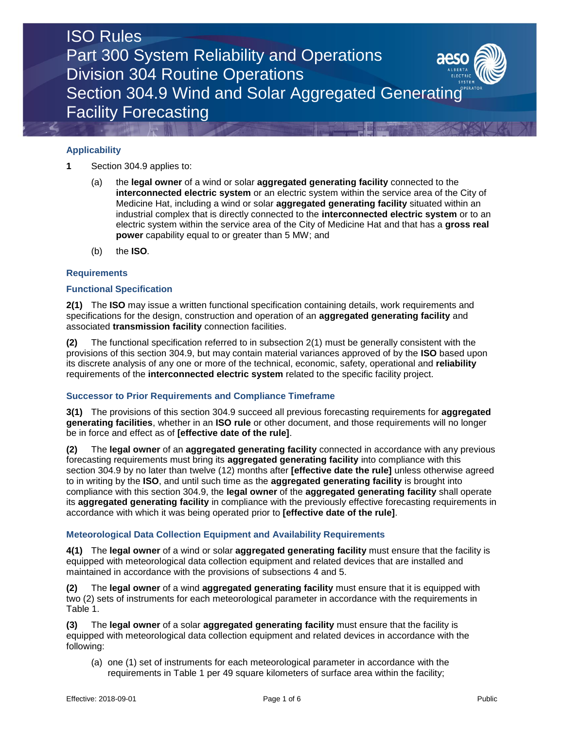

### **Applicability**

**1** Section 304.9 applies to:

- (a) the **legal owner** of a wind or solar **aggregated generating facility** connected to the **interconnected electric system** or an electric system within the service area of the City of Medicine Hat, including a wind or solar **aggregated generating facility** situated within an industrial complex that is directly connected to the **interconnected electric system** or to an electric system within the service area of the City of Medicine Hat and that has a **gross real power** capability equal to or greater than 5 MW; and
- (b) the **ISO***.*

#### **Requirements**

#### **Functional Specification**

**2(1)** The **ISO** may issue a written functional specification containing details, work requirements and specifications for the design, construction and operation of an **aggregated generating facility** and associated **transmission facility** connection facilities.

**(2)** The functional specification referred to in subsection 2(1) must be generally consistent with the provisions of this section 304.9, but may contain material variances approved of by the **ISO** based upon its discrete analysis of any one or more of the technical, economic, safety, operational and **reliability** requirements of the **interconnected electric system** related to the specific facility project.

#### **Successor to Prior Requirements and Compliance Timeframe**

**3(1)** The provisions of this section 304.9 succeed all previous forecasting requirements for **aggregated generating facilities**, whether in an **ISO rule** or other document, and those requirements will no longer be in force and effect as of **[effective date of the rule]**.

**(2)** The **legal owner** of an **aggregated generating facility** connected in accordance with any previous forecasting requirements must bring its **aggregated generating facility** into compliance with this section 304.9 by no later than twelve (12) months after **[effective date the rule]** unless otherwise agreed to in writing by the **ISO**, and until such time as the **aggregated generating facility** is brought into compliance with this section 304.9, the **legal owner** of the **aggregated generating facility** shall operate its **aggregated generating facility** in compliance with the previously effective forecasting requirements in accordance with which it was being operated prior to **[effective date of the rule]**.

#### **Meteorological Data Collection Equipment and Availability Requirements**

**4(1)** The **legal owner** of a wind or solar **aggregated generating facility** must ensure that the facility is equipped with meteorological data collection equipment and related devices that are installed and maintained in accordance with the provisions of subsections 4 and 5.

**(2)** The **legal owner** of a wind **aggregated generating facility** must ensure that it is equipped with two (2) sets of instruments for each meteorological parameter in accordance with the requirements in Table 1.

**(3)** The **legal owner** of a solar **aggregated generating facility** must ensure that the facility is equipped with meteorological data collection equipment and related devices in accordance with the following:

(a) one (1) set of instruments for each meteorological parameter in accordance with the requirements in Table 1 per 49 square kilometers of surface area within the facility;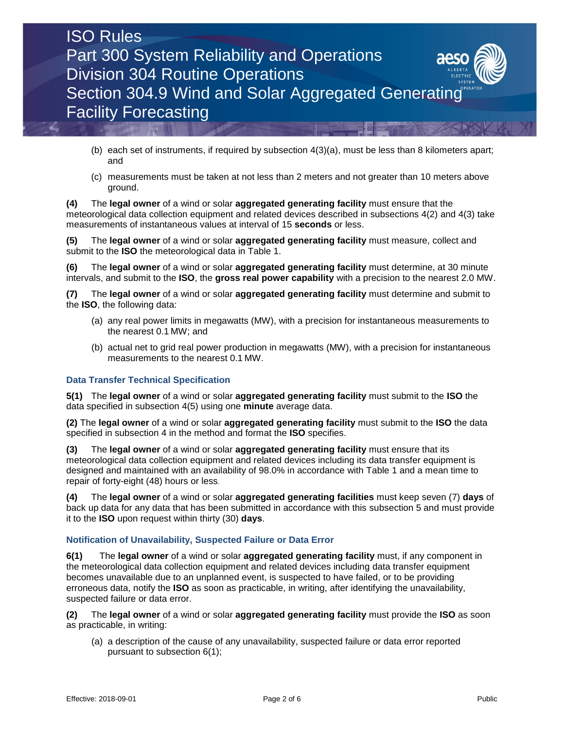

- (b) each set of instruments, if required by subsection 4(3)(a), must be less than 8 kilometers apart; and
- (c) measurements must be taken at not less than 2 meters and not greater than 10 meters above ground.

**(4)** The **legal owner** of a wind or solar **aggregated generating facility** must ensure that the meteorological data collection equipment and related devices described in subsections 4(2) and 4(3) take measurements of instantaneous values at interval of 15 **seconds** or less.

**(5)** The **legal owner** of a wind or solar **aggregated generating facility** must measure, collect and submit to the **ISO** the meteorological data in Table 1.

**(6)** The **legal owner** of a wind or solar **aggregated generating facility** must determine, at 30 minute intervals, and submit to the **ISO**, the **gross real power capability** with a precision to the nearest 2.0 MW.

**(7)** The **legal owner** of a wind or solar **aggregated generating facility** must determine and submit to the **ISO**, the following data:

- (a) any real power limits in megawatts (MW), with a precision for instantaneous measurements to the nearest 0.1 MW; and
- (b) actual net to grid real power production in megawatts (MW), with a precision for instantaneous measurements to the nearest 0.1 MW.

#### **Data Transfer Technical Specification**

**5(1)** The **legal owner** of a wind or solar **aggregated generating facility** must submit to the **ISO** the data specified in subsection 4(5) using one **minute** average data.

**(2)** The **legal owner** of a wind or solar **aggregated generating facility** must submit to the **ISO** the data specified in subsection 4 in the method and format the **ISO** specifies.

**(3)** The **legal owner** of a wind or solar **aggregated generating facility** must ensure that its meteorological data collection equipment and related devices including its data transfer equipment is designed and maintained with an availability of 98.0% in accordance with Table 1 and a mean time to repair of forty-eight (48) hours or less.

**(4)** The **legal owner** of a wind or solar **aggregated generating facilities** must keep seven (7) **days** of back up data for any data that has been submitted in accordance with this subsection 5 and must provide it to the **ISO** upon request within thirty (30) **days**.

#### **Notification of Unavailability, Suspected Failure or Data Error**

**6(1)** The **legal owner** of a wind or solar **aggregated generating facility** must, if any component in the meteorological data collection equipment and related devices including data transfer equipment becomes unavailable due to an unplanned event, is suspected to have failed, or to be providing erroneous data, notify the **ISO** as soon as practicable, in writing, after identifying the unavailability, suspected failure or data error.

**(2)** The **legal owner** of a wind or solar **aggregated generating facility** must provide the **ISO** as soon as practicable, in writing:

(a) a description of the cause of any unavailability, suspected failure or data error reported pursuant to subsection 6(1);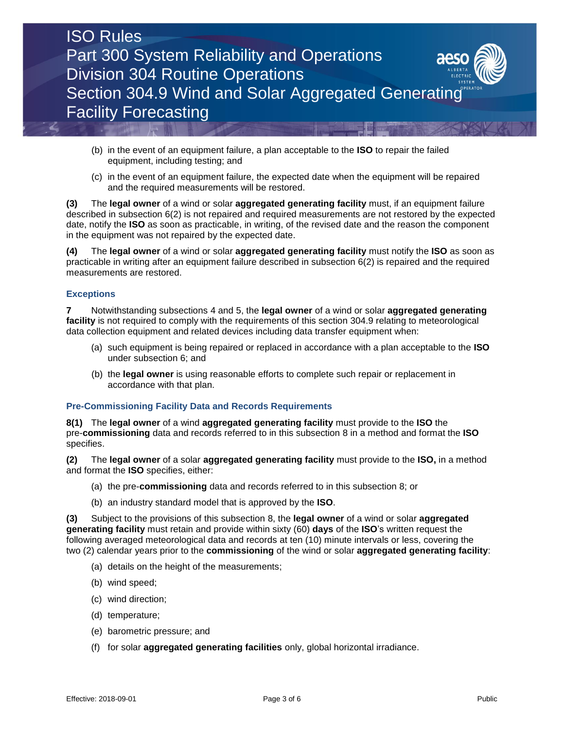

- (b) in the event of an equipment failure, a plan acceptable to the **ISO** to repair the failed equipment, including testing; and
- (c) in the event of an equipment failure, the expected date when the equipment will be repaired and the required measurements will be restored.

**(3)** The **legal owner** of a wind or solar **aggregated generating facility** must, if an equipment failure described in subsection 6(2) is not repaired and required measurements are not restored by the expected date, notify the **ISO** as soon as practicable, in writing, of the revised date and the reason the component in the equipment was not repaired by the expected date.

**(4)** The **legal owner** of a wind or solar **aggregated generating facility** must notify the **ISO** as soon as practicable in writing after an equipment failure described in subsection 6(2) is repaired and the required measurements are restored.

#### **Exceptions**

**7** Notwithstanding subsections 4 and 5, the **legal owner** of a wind or solar **aggregated generating facility** is not required to comply with the requirements of this section 304.9 relating to meteorological data collection equipment and related devices including data transfer equipment when:

- (a) such equipment is being repaired or replaced in accordance with a plan acceptable to the **ISO** under subsection 6; and
- (b) the **legal owner** is using reasonable efforts to complete such repair or replacement in accordance with that plan.

#### **Pre-Commissioning Facility Data and Records Requirements**

**8(1)** The **legal owner** of a wind **aggregated generating facility** must provide to the **ISO** the pre-**commissioning** data and records referred to in this subsection 8 in a method and format the **ISO** specifies.

**(2)** The **legal owner** of a solar **aggregated generating facility** must provide to the **ISO,** in a method and format the **ISO** specifies, either:

- (a) the pre-**commissioning** data and records referred to in this subsection 8; or
- (b) an industry standard model that is approved by the **ISO**.

**(3)** Subject to the provisions of this subsection 8, the **legal owner** of a wind or solar **aggregated generating facility** must retain and provide within sixty (60) **days** of the **ISO**'s written request the following averaged meteorological data and records at ten (10) minute intervals or less, covering the two (2) calendar years prior to the **commissioning** of the wind or solar **aggregated generating facility**:

- (a) details on the height of the measurements;
- (b) wind speed;
- (c) wind direction;
- (d) temperature;
- (e) barometric pressure; and
- (f) for solar **aggregated generating facilities** only, global horizontal irradiance.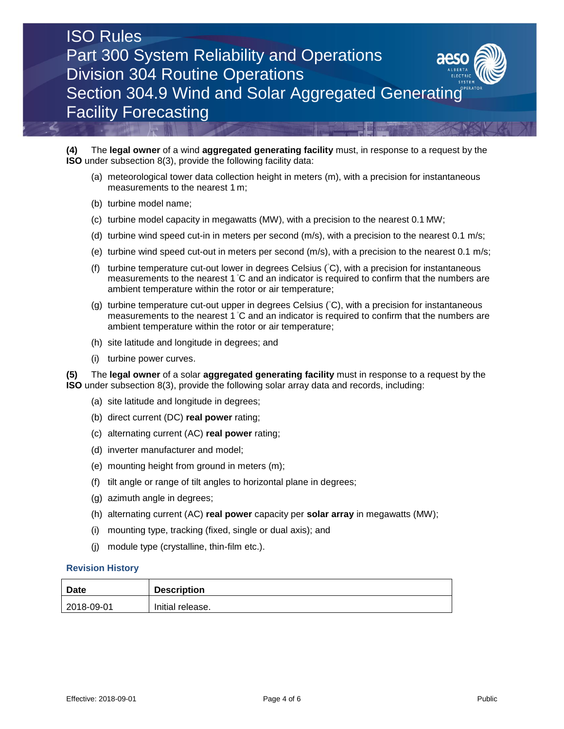# ISO Rules Part 300 System Reliability and Operations Division 304 Routine Operations Section 304.9 Wind and Solar Aggregated Generating Facility Forecasting

**(4)** The **legal owner** of a wind **aggregated generating facility** must, in response to a request by the **ISO** under subsection 8(3), provide the following facility data:

- (a) meteorological tower data collection height in meters (m), with a precision for instantaneous measurements to the nearest 1 m;
- (b) turbine model name;
- (c) turbine model capacity in megawatts (MW), with a precision to the nearest 0.1 MW;
- (d) turbine wind speed cut-in in meters per second (m/s), with a precision to the nearest 0.1 m/s;
- (e) turbine wind speed cut-out in meters per second (m/s), with a precision to the nearest 0.1 m/s;
- (f) turbine temperature cut-out lower in degrees Celsius (◦C), with a precision for instantaneous measurements to the nearest 1 °C and an indicator is required to confirm that the numbers are ambient temperature within the rotor or air temperature;
- (g) turbine temperature cut-out upper in degrees Celsius (◦C), with a precision for instantaneous measurements to the nearest 1 °C and an indicator is required to confirm that the numbers are ambient temperature within the rotor or air temperature;
- (h) site latitude and longitude in degrees; and
- (i) turbine power curves.

**(5)** The **legal owner** of a solar **aggregated generating facility** must in response to a request by the **ISO** under subsection 8(3), provide the following solar array data and records, including:

- (a) site latitude and longitude in degrees;
- (b) direct current (DC) **real power** rating;
- (c) alternating current (AC) **real power** rating;
- (d) inverter manufacturer and model;
- (e) mounting height from ground in meters (m);
- (f) tilt angle or range of tilt angles to horizontal plane in degrees;
- (g) azimuth angle in degrees;
- (h) alternating current (AC) **real power** capacity per **solar array** in megawatts (MW);
- (i) mounting type, tracking (fixed, single or dual axis); and
- (j) module type (crystalline, thin-film etc.).

#### **Revision History**

| Date          | <b>Description</b> |
|---------------|--------------------|
| $ 2018-09-01$ | Initial release.   |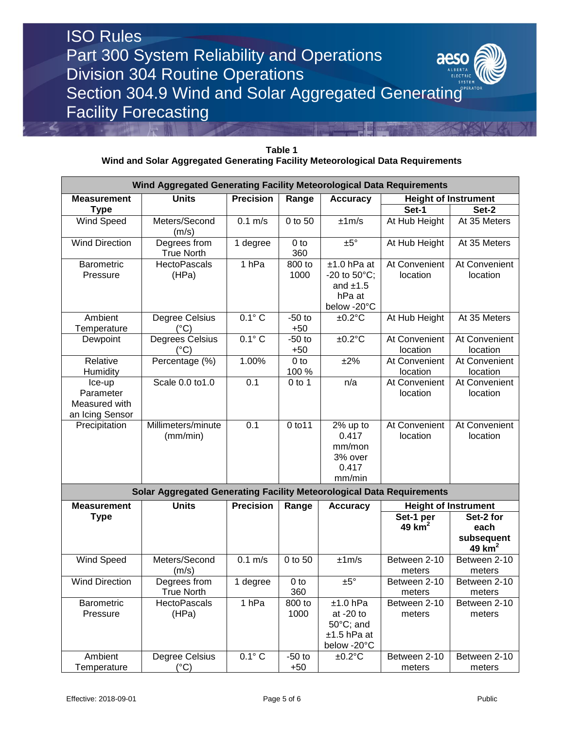## ISO Rules Part 300 System Reliability and Operations aeso Division 304 Routine Operations Section 304.9 Wind and Solar Aggregated Generating Facility Forecasting

| Table 1                                                                        |
|--------------------------------------------------------------------------------|
| Wind and Solar Aggregated Generating Facility Meteorological Data Requirements |

| Wind Aggregated Generating Facility Meteorological Data Requirements |                                                                       |                       |                          |                                                                                  |                             |                                             |  |  |  |
|----------------------------------------------------------------------|-----------------------------------------------------------------------|-----------------------|--------------------------|----------------------------------------------------------------------------------|-----------------------------|---------------------------------------------|--|--|--|
| <b>Measurement</b>                                                   | <b>Units</b>                                                          | <b>Precision</b>      | Range                    | <b>Accuracy</b>                                                                  | <b>Height of Instrument</b> |                                             |  |  |  |
| <b>Type</b>                                                          |                                                                       |                       |                          |                                                                                  | Set-1                       | Set-2                                       |  |  |  |
| <b>Wind Speed</b>                                                    | Meters/Second<br>(m/s)                                                | $0.1$ m/s             | 0 to 50                  | ±1m/s                                                                            | At Hub Height               | At 35 Meters                                |  |  |  |
| <b>Wind Direction</b>                                                | Degrees from<br><b>True North</b>                                     | $\overline{1}$ degree | 0 <sub>to</sub><br>360   | $±5^{\circ}$                                                                     | At Hub Height               | At 35 Meters                                |  |  |  |
| <b>Barometric</b><br>Pressure                                        | <b>HectoPascals</b><br>(HPa)                                          | 1 <sub>hPa</sub>      | 800 to<br>1000           | $±1.0$ hPa at<br>$-20$ to $50^{\circ}$ C;<br>and $±1.5$<br>hPa at<br>below -20°C | At Convenient<br>location   | At Convenient<br>location                   |  |  |  |
| Ambient<br>Temperature                                               | Degree Celsius<br>$(^{\circ}C)$                                       | $0.1^\circ C$         | $-50$ to<br>$+50$        | $±0.2$ °C                                                                        | At Hub Height               | At 35 Meters                                |  |  |  |
| Dewpoint                                                             | Degrees Celsius<br>$(^{\circ}C)$                                      | $0.1^\circ C$         | $-50$ to<br>$+50$        | $±0.2$ °C                                                                        | At Convenient<br>location   | At Convenient<br>location                   |  |  |  |
| Relative<br>Humidity                                                 | Percentage $(\frac{1}{6})$                                            | 1.00%                 | 0 <sub>to</sub><br>100 % | ±2%                                                                              | At Convenient<br>location   | At Convenient<br>location                   |  |  |  |
| Ice-up<br>Parameter<br>Measured with<br>an Icing Sensor              | Scale 0.0 to 1.0                                                      | 0.1                   | $0$ to 1                 | n/a                                                                              | At Convenient<br>location   | At Convenient<br>location                   |  |  |  |
| Precipitation                                                        | Millimeters/minute<br>(mm/min)                                        | 0.1                   | 0 to 11                  | 2% up to<br>0.417<br>mm/mon<br>3% over<br>0.417<br>mm/min                        | At Convenient<br>location   | At Convenient<br>location                   |  |  |  |
|                                                                      | Solar Aggregated Generating Facility Meteorological Data Requirements |                       |                          |                                                                                  |                             |                                             |  |  |  |
| <b>Measurement</b>                                                   | <b>Units</b>                                                          | <b>Precision</b>      | Range                    | <b>Accuracy</b>                                                                  | <b>Height of Instrument</b> |                                             |  |  |  |
| <b>Type</b>                                                          |                                                                       |                       |                          |                                                                                  | Set-1 per<br>49 $km2$       | Set-2 for<br>each<br>subsequent<br>49 $km2$ |  |  |  |
| Wind Speed                                                           | Meters/Second<br>(m/s)                                                | $0.1$ m/s             | 0 to 50                  | ±1m/s                                                                            | Between 2-10<br>meters      | Between 2-10<br>meters                      |  |  |  |
| <b>Wind Direction</b>                                                | Degrees from<br><b>True North</b>                                     | 1 degree              | 0 <sub>to</sub><br>360   | ±5°                                                                              | Between 2-10<br>meters      | Between 2-10<br>meters                      |  |  |  |
| Barometric<br>Pressure                                               | <b>HectoPascals</b><br>(HPa)                                          | 1 <sub>hPa</sub>      | 800 to<br>1000           | $±1.0$ hPa<br>at $-20$ to<br>50°C; and<br>$±1.5$ hPa at<br>below -20°C           | Between 2-10<br>meters      | Between 2-10<br>meters                      |  |  |  |
| Ambient<br>Temperature                                               | Degree Celsius<br>$(^{\circ}C)$                                       | $0.1^\circ C$         | $-50$ to<br>$+50$        | $±0.2$ °C                                                                        | Between 2-10<br>meters      | Between 2-10<br>meters                      |  |  |  |